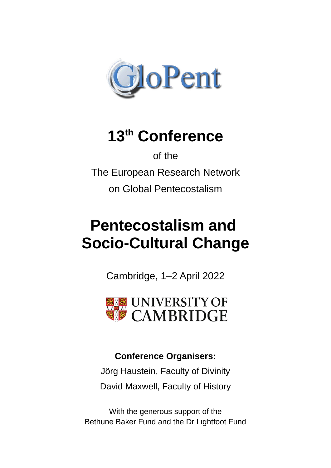

# **13th Conference**

of the The European Research Network on Global Pentecostalism

# **Pentecostalism and Socio-Cultural Change**

Cambridge, 1–2 April 2022



# **Conference Organisers:**

Jörg Haustein, Faculty of Divinity David Maxwell, Faculty of History

With the generous support of the Bethune Baker Fund and the Dr Lightfoot Fund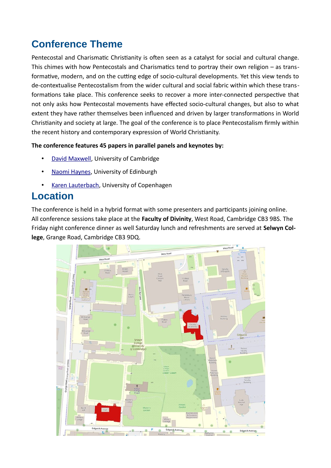# **Conference Theme**

Pentecostal and Charismatic Christianity is often seen as a catalyst for social and cultural change. This chimes with how Pentecostals and Charismatics tend to portray their own religion – as transformative, modern, and on the cutting edge of socio-cultural developments. Yet this view tends to de-contextualise Pentecostalism from the wider cultural and social fabric within which these transformations take place. This conference seeks to recover a more inter-connected perspective that not only asks how Pentecostal movements have effected socio-cultural changes, but also to what extent they have rather themselves been influenced and driven by larger transformations in World Christianity and society at large. The goal of the conference is to place Pentecostalism firmly within the recent history and contemporary expression of World Christianity.

#### **The conference features 45 papers in parallel panels and keynotes by:**

- **David Maxwell, University of Cambridge**
- **Naomi Haynes, University of Edinburgh**
- • [Karen Lauterbach](https://teol.ku.dk/cas/staff/?pure=en/persons/83121), University of Copenhagen

# **Location**

The conference is held in a hybrid format with some presenters and participants joining online. All conference sessions take place at the **Faculty of Divinity**, West Road, Cambridge CB3 9BS. The Friday night conference dinner as well Saturday lunch and refreshments are served at **Selwyn College**, Grange Road, Cambridge CB3 9DQ.

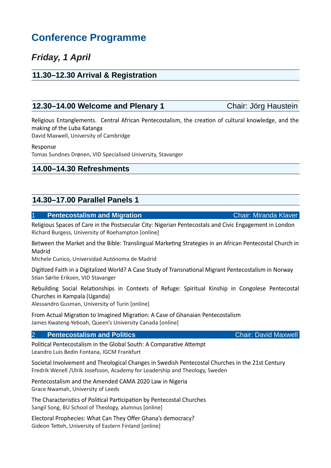# **Conference Programme**

# *Friday, 1 April*

#### **11.30–12.30 Arrival & Registration**

#### **12.30–14.00 Welcome and Plenary 1** Chair: Jörg Haustein

Religious Entanglements. Central African Pentecostalism, the creation of cultural knowledge, and the making of the Luba Katanga

David Maxwell, University of Cambridge

Response

Tomas Sundnes Drønen, VID Specialised University, Stavanger

## **14.00–14.30 Refreshments**

## **14.30–17.00 Parallel Panels 1**

#### **1 Pentecostalism and Migration** Chair: Miranda Klaver

Religious Spaces of Care in the Postsecular City: Nigerian Pentecostals and Civic Engagement in London Richard Burgess, University of Roehampton [online]

Between the Market and the Bible: Translingual Marketing Strategies in an African Pentecostal Church in Madrid

Michele Cunico, Universidad Autónoma de Madrid

Digitized Faith in a Digitalized World? A Case Study of Transnational Migrant Pentecostalism in Norway Stian Sørlie Eriksen, VID Stavanger

Rebuilding Social Relationships in Contexts of Refuge: Spiritual Kinship in Congolese Pentecostal Churches in Kampala (Uganda)

Alessandro Gusman, University of Turin [online]

From Actual Migration to Imagined Migration: A Case of Ghanaian Pentecostalism James Kwateng-Yeboah, Queen's University Canada [online]

#### **2 Pentecostalism and Politics Chair: David Maxwell**

Political Pentecostalism in the Global South: A Comparative Attempt Leandro Luis Bedin Fontana, IGCM Frankfurt

Societal Involvement and Theological Changes in Swedish Pentecostal Churches in the 21st Century Fredrik Wenell /Ulrik Josefsson, Academy for Leadership and Theology, Sweden

Pentecostalism and the Amended CAMA 2020 Law in Nigeria Grace Nwamah, University of Leeds

The Characteristics of Political Participation by Pentecostal Churches Sangil Song, BU School of Theology, alumnus [online]

Electoral Prophecies: What Can They Offer Ghana's democracy? Gideon Tetteh, University of Eastern Finland [online]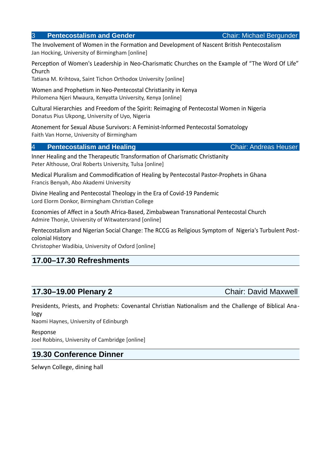#### **3 Pentecostalism and Gender** Chair: Michael Bergunder

The Involvement of Women in the Formation and Development of Nascent British Pentecostalism Jan Hocking, University of Birmingham [online]

Perception of Women's Leadership in Neo-Charismatic Churches on the Example of "The Word Of Life" Church

Tatiana M. Krihtova, Saint Tichon Orthodox University [online]

Women and Prophetism in Neo-Pentecostal Christianity in Kenya Philomena Njeri Mwaura, Kenyatta University, Kenya [online]

Cultural Hierarchies and Freedom of the Spirit: Reimaging of Pentecostal Women in Nigeria Donatus Pius Ukpong, University of Uyo, Nigeria

Atonement for Sexual Abuse Survivors: A Feminist-Informed Pentecostal Somatology Faith Van Horne, University of Birmingham

#### 4 **Pentecostalism and Healing** Chair: Andreas Heuser

Inner Healing and the Therapeutic Transformation of Charismatic Christianity Peter Althouse, Oral Roberts University, Tulsa [online]

Medical Pluralism and Commodification of Healing by Pentecostal Pastor-Prophets in Ghana Francis Benyah, Abo Akademi University

Divine Healing and Pentecostal Theology in the Era of Covid-19 Pandemic Lord Elorm Donkor, Birmingham Christian College

Economies of Affect in a South Africa-Based, Zimbabwean Transnational Pentecostal Church Admire Thonje, University of Witwatersrand [online]

Pentecostalism and Nigerian Social Change: The RCCG as Religious Symptom of Nigeria's Turbulent Postcolonial History

Christopher Wadibia, University of Oxford [online]

#### **17.00–17.30 Refreshments**

## **17.30–19.00 Plenary 2** Chair: David Maxwell

Presidents, Priests, and Prophets: Covenantal Christian Nationalism and the Challenge of Biblical Analogy

Naomi Haynes, University of Edinburgh

Response Joel Robbins, University of Cambridge [online]

#### **19.30 Conference Dinner**

Selwyn College, dining hall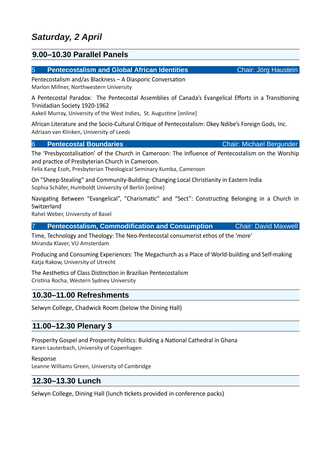## **9.00–10.30 Parallel Panels**

#### 5 **Pentecostalism and Global African Identities** Chair: Jörg Haustein

Pentecostalism and/as Blackness – A Diasporic Conversation Marlon Millner, Northwestern University

A Pentecostal Paradox: The Pentecostal Assemblies of Canada's Evangelical Efforts in a Transitioning Trinidadian Society 1920-1962

Aakeil Murray, University of the West Indies, St. Augustine [online]

African Literature and the Socio-Cultural Critique of Pentecostalism: Okey Ndibe's Foreign Gods, Inc. Adriaan van Klinken, University of Leeds

#### **6 Pentecostal Boundaries Chair: Michael Bergunder**

The 'Presbycostalisation' of the Church in Cameroon: The Influence of Pentecostalism on the Worship and practice of Presbyterian Church in Cameroon.

Felix Kang Esoh, Presbyterian Theological Seminary Kumba, Cameroon

On "Sheep-Stealing" and Community-Building: Changing Local Christianity in Eastern India Sophia Schäfer, Humboldt University of Berlin [online]

Navigating Between "Evangelical", "Charismatic" and "Sect": Constructing Belonging in a Church in **Switzerland** 

Rahel Weber, University of Basel

| <b>Chair: David Maxwell</b><br><b>Pentecostalism, Commodification and Consumption</b> |  |
|---------------------------------------------------------------------------------------|--|
|---------------------------------------------------------------------------------------|--|

Time, Technology and Theology: The Neo-Pentecostal consumerist ethos of the 'more' Miranda Klaver, VU Amsterdam

Producing and Consuming Experiences: The Megachurch as a Place of World-building and Self-making Katia Rakow, University of Utrecht

The Aesthetics of Class Distinction in Brazilian Pentecostalism Cristina Rocha, Western Sydney University

## **10.30–11.00 Refreshments**

Selwyn College, Chadwick Room (below the Dining Hall)

#### **11.00–12.30 Plenary 3**

Prosperity Gospel and Prosperity Politics: Building a National Cathedral in Ghana Karen Lauterbach, University of Copenhagen

Response Leanne Williams Green, University of Cambridge

## **12.30–13.30 Lunch**

Selwyn College, Dining Hall (lunch tickets provided in conference packs)